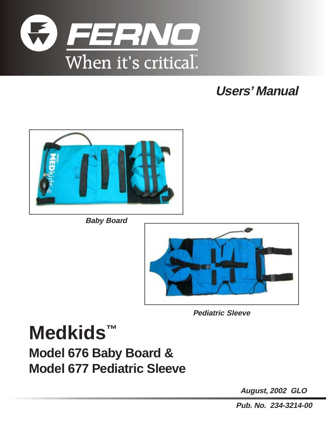

# **Users' Manual**



**Baby Board**



**Pediatric Sleeve**

**Medkids™ Model 676 Baby Board & Model 677 Pediatric Sleeve**

**August, 2002 GLO**

**Pub. No. 234-3214-00**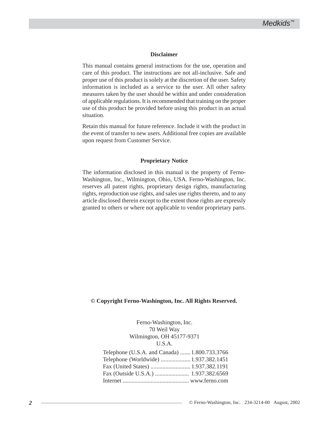#### **Disclaimer**

This manual contains general instructions for the use, operation and care of this product. The instructions are not all-inclusive. Safe and proper use of this product is solely at the discretion of the user. Safety information is included as a service to the user. All other safety measures taken by the user should be within and under consideration of applicable regulations. It is recommended that training on the proper use of this product be provided before using this product in an actual situation.

Retain this manual for future reference. Include it with the product in the event of transfer to new users. Additional free copies are available upon request from Customer Service.

#### **Proprietary Notice**

The information disclosed in this manual is the property of Ferno-Washington, Inc., Wilmington, Ohio, USA. Ferno-Washington, Inc. reserves all patent rights, proprietary design rights, manufacturing rights, reproduction use rights, and sales use rights thereto, and to any article disclosed therein except to the extent those rights are expressly granted to others or where not applicable to vendor proprietary parts.

#### **© Copyright Ferno-Washington, Inc. All Rights Reserved.**

Ferno-Washington, Inc. 70 Weil Way Wilmington, OH 45177-9371 U.S.A.

| Telephone (U.S.A. and Canada)  1.800.733.3766 |  |
|-----------------------------------------------|--|
| Telephone (Worldwide)  1.937.382.1451         |  |
|                                               |  |
|                                               |  |
|                                               |  |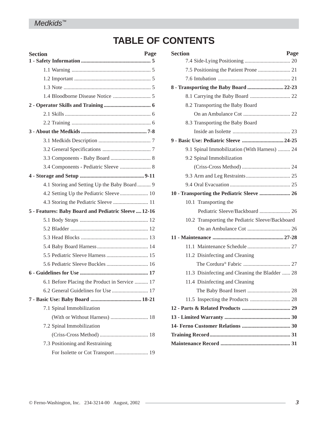## **TABLE OF CONTENTS**

| Page<br><b>Section</b>                               |
|------------------------------------------------------|
|                                                      |
|                                                      |
|                                                      |
|                                                      |
|                                                      |
|                                                      |
|                                                      |
|                                                      |
|                                                      |
|                                                      |
|                                                      |
| 3.4 Components - Pediatric Sleeve  8                 |
|                                                      |
| 4.1 Storing and Setting Up the Baby Board 9          |
|                                                      |
|                                                      |
| 5 - Features: Baby Board and Pediatric Sleeve  12-16 |
|                                                      |
|                                                      |
|                                                      |
|                                                      |
|                                                      |
|                                                      |
|                                                      |
| 6.1 Before Placing the Product in Service  17        |
| 6.2 General Guidelines for Use  17                   |
|                                                      |
| 7.1 Spinal Immobilization                            |
|                                                      |
| 7.2 Spinal Immobilization                            |
|                                                      |
| 7.3 Positioning and Restraining                      |
|                                                      |

| <b>Section</b>                                   | Page |
|--------------------------------------------------|------|
|                                                  |      |
|                                                  |      |
|                                                  |      |
| 8 - Transporting the Baby Board  22-23           |      |
|                                                  |      |
| 8.2 Transporting the Baby Board                  |      |
|                                                  |      |
| 8.3 Transporting the Baby Board                  |      |
|                                                  |      |
|                                                  |      |
| 9.1 Spinal Immobilization (With Harness)  24     |      |
| 9.2 Spinal Immobilization                        |      |
|                                                  |      |
|                                                  |      |
|                                                  |      |
| 10 - Transporting the Pediatric Sleeve  26       |      |
| 10.1 Transporting the                            |      |
| Pediatric Sleeve/Backboard  26                   |      |
| 10.2 Transporting the Pediatric Sleeve/Backboard |      |
|                                                  |      |
|                                                  |      |
|                                                  |      |
| 11.2 Disinfecting and Cleaning                   |      |
|                                                  |      |
| 11.3 Disinfecting and Cleaning the Bladder  28   |      |
| 11.4 Disinfecting and Cleaning                   |      |
|                                                  |      |
|                                                  |      |
|                                                  |      |
|                                                  |      |
|                                                  |      |
|                                                  |      |
|                                                  |      |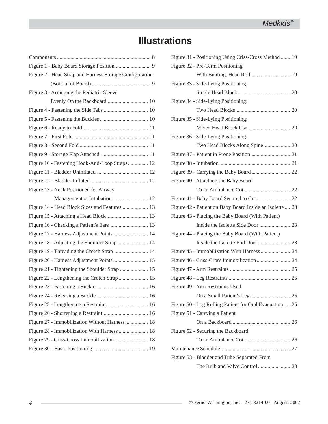# **Illustrations**

| Figure 2 - Head Strap and Harness Storage Configuration |
|---------------------------------------------------------|
|                                                         |
| Figure 3 - Arranging the Pediatric Sleeve               |
|                                                         |
|                                                         |
|                                                         |
|                                                         |
|                                                         |
|                                                         |
|                                                         |
| Figure 10 - Fastening Hook-And-Loop Straps 12           |
|                                                         |
|                                                         |
| Figure 13 - Neck Positioned for Airway                  |
| Management or Intubation  12                            |
| Figure 14 - Head Block Sizes and Features  13           |
|                                                         |
|                                                         |
| Figure 17 - Harness Adjustment Points  14               |
| Figure 18 - Adjusting the Shoulder Strap 14             |
| Figure 19 - Threading the Crotch Strap  14              |
|                                                         |
|                                                         |
|                                                         |
|                                                         |
|                                                         |
|                                                         |
|                                                         |
| Figure 27 - Immobilization Without Harness  18          |
| Figure 28 - Immobilization With Harness  18             |
|                                                         |
|                                                         |
|                                                         |

| Figure 31 - Positioning Using Criss-Cross Method  19     |
|----------------------------------------------------------|
| Figure 32 - Pre-Term Positioning                         |
|                                                          |
| Figure 33 - Side-Lying Positioning:                      |
|                                                          |
| Figure 34 - Side-Lying Positioning:                      |
|                                                          |
| Figure 35 - Side-Lying Positioning:                      |
|                                                          |
| Figure 36 - Side-Lying Positioning:                      |
|                                                          |
|                                                          |
|                                                          |
|                                                          |
| Figure 40 - Attaching the Baby Board                     |
|                                                          |
|                                                          |
| Figure 42 - Patient on Baby Board Inside an Isolette  23 |
|                                                          |
| Figure 43 - Placing the Baby Board (With Patient)        |
|                                                          |
| Figure 44 - Placing the Baby Board (With Patient)        |
|                                                          |
|                                                          |
|                                                          |
|                                                          |
|                                                          |
| Figure 49 - Arm Restraints Used                          |
|                                                          |
| Figure 50 - Log Rolling Patient for Oral Evacuation  25  |
| Figure 51 - Carrying a Patient                           |
|                                                          |
| Figure 52 - Securing the Backboard                       |
|                                                          |
|                                                          |
| Figure 53 - Bladder and Tube Separated From              |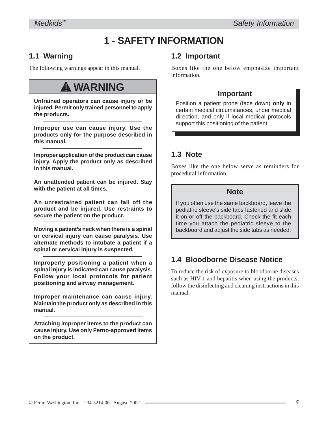# **1 - SAFETY INFORMATION**

## **1.1 Warning**

The following warnings appear in this manual.

# ! **WARNING**

**Untrained operators can cause injury or be injured. Permit only trained personnel to apply the products.**

**Improper use can cause injury. Use the products only for the purpose described in this manual.**

**Improper application of the product can cause injury. Apply the product only as described in this manual.**

**An unattended patient can be injured. Stay with the patient at all times.**

**An unrestrained patient can fall off the product and be injured. Use restraints to secure the patient on the product.**

**Moving a patient's neck when there is a spinal or cervical injury can cause paralysis. Use alternate methods to intubate a patient if a spinal or cervical injury is suspected.**

**Improperly positioning a patient when a spinal injury is indicated can cause paralysis. Follow your local protocols for patient positioning and airway management.**

**Improper maintenance can cause injury. Maintain the product only as described in this manual.**

**Attaching improper items to the product can cause injury. Use only Ferno-approved items on the product.**

## **1.2 Important**

Boxes like the one below emphasize important information.

## **Important**

Position a patient prone (face down) **only** in certain medical circumstances, under medical direction, and only if local medical protocols support this positioning of the patient.

## **1.3 Note**

Boxes like the one below serve as reminders for procedural information.

## **Note**

If you often use the same backboard, leave the pediatric sleeve's side tabs fastened and slide it on or off the backboard. Check the fit each time you attach the pediatric sleeve to the backboard and adjust the side tabs as needed.

## **1.4 Bloodborne Disease Notice**

To reduce the risk of exposure to bloodborne diseases such as HIV-1 and hepatitis when using the products, follow the disinfecting and cleaning instructions in this manual.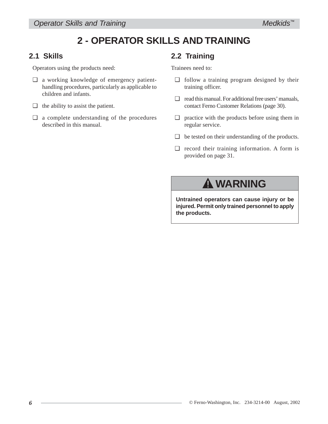## **2 - OPERATOR SKILLS AND TRAINING**

## **2.1 Skills**

Operators using the products need:

- ❑ a working knowledge of emergency patienthandling procedures, particularly as applicable to children and infants.
- $\Box$  the ability to assist the patient.
- ❑ a complete understanding of the procedures described in this manual.

## **2.2 Training**

Trainees need to:

- ❑ follow a training program designed by their training officer.
- ❑ read this manual. For additional free users' manuals, contact Ferno Customer Relations (page 30).
- ❑ practice with the products before using them in regular service.
- ❑ be tested on their understanding of the products.
- ❑ record their training information. A form is provided on page 31.

# ! **WARNING**

**Untrained operators can cause injury or be injured. Permit only trained personnel to apply the products.**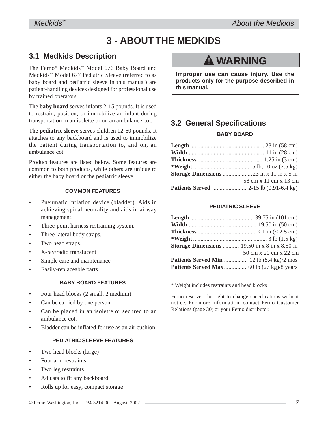# **3 - ABOUT THE MEDKIDS**

## **3.1 Medkids Description**

The Ferno® Medkids™ Model 676 Baby Board and Medkids™ Model 677 Pediatric Sleeve (referred to as baby board and pediatric sleeve in this manual) are patient-handling devices designed for professional use by trained operators.

The **baby board** serves infants 2-15 pounds. It is used to restrain, position, or immobilize an infant during transportation in an isolette or on an ambulance cot.

The **pediatric sleeve** serves children 12-60 pounds. It attaches to any backboard and is used to immobilize the patient during transportation to, and on, an ambulance cot.

Product features are listed below. Some features are common to both products, while others are unique to either the baby board or the pediatric sleeve.

#### **COMMON FEATURES**

- Pneumatic inflation device (bladder). Aids in achieving spinal neutrality and aids in airway management.
- Three-point harness restraining system.
- Three lateral body straps.
- Two head straps.
- X-ray/radio translucent
- Simple care and maintenance
- Easily-replaceable parts

#### **BABY BOARD FEATURES**

- Four head blocks (2 small, 2 medium)
- Can be carried by one person
- Can be placed in an isolette or secured to an ambulance cot.
- Bladder can be inflated for use as an air cushion.

#### **PEDIATRIC SLEEVE FEATURES**

- Two head blocks (large)
- Four arm restraints
- Two leg restraints
- Adjusts to fit any backboard
- Rolls up for easy, compact storage

# ! **WARNING**

**Improper use can cause injury. Use the products only for the purpose described in this manual.**

## **3.2 General Specifications**

#### **BABY BOARD**

| 58 cm x 11 cm x 13 cm |
|-----------------------|
|                       |

#### **PEDIATRIC SLEEVE**

| <b>Storage Dimensions</b> 19.50 in $x \&set$ in $x \&set 50$ in |                       |
|-----------------------------------------------------------------|-----------------------|
|                                                                 | 50 cm x 20 cm x 22 cm |
|                                                                 |                       |
|                                                                 |                       |

\* Weight includes restraints and head blocks

Ferno reserves the right to change specifications without notice. For more information, contact Ferno Customer Relations (page 30) or your Ferno distributor.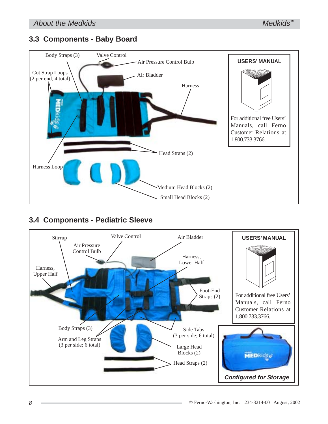## **3.3 Components - Baby Board**



## **3.4 Components - Pediatric Sleeve**

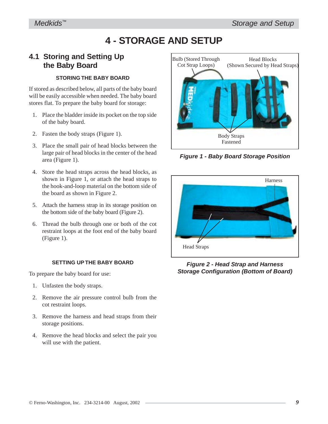# **4 - STORAGE AND SETUP**

### **4.1 Storing and Setting Up the Baby Board**

#### **STORING THE BABY BOARD**

If stored as described below, all parts of the baby board will be easily accessible when needed. The baby board stores flat. To prepare the baby board for storage:

- 1. Place the bladder inside its pocket on the top side of the baby board.
- 2. Fasten the body straps (Figure 1).
- 3. Place the small pair of head blocks between the large pair of head blocks in the center of the head area (Figure 1).
- 4. Store the head straps across the head blocks, as shown in Figure 1, or attach the head straps to the hook-and-loop material on the bottom side of the board as shown in Figure 2.
- 5. Attach the harness strap in its storage position on the bottom side of the baby board (Figure 2).
- 6. Thread the bulb through one or both of the cot restraint loops at the foot end of the baby board (Figure 1).

#### **SETTING UP THE BABY BOARD**

To prepare the baby board for use:

- 1. Unfasten the body straps.
- 2. Remove the air pressure control bulb from the cot restraint loops.
- 3. Remove the harness and head straps from their storage positions.
- 4. Remove the head blocks and select the pair you will use with the patient.



*Figure 1 - Baby Board Storage Position*



*Figure 2 - Head Strap and Harness Storage Configuration (Bottom of Board)*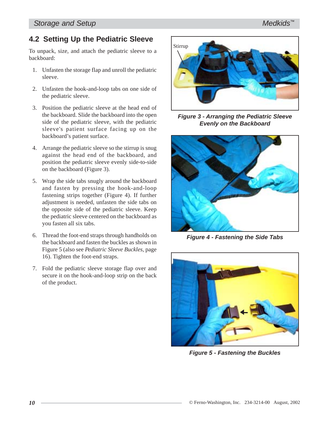## **4.2 Setting Up the Pediatric Sleeve**

To unpack, size, and attach the pediatric sleeve to a backboard:

- 1. Unfasten the storage flap and unroll the pediatric sleeve.
- 2. Unfasten the hook-and-loop tabs on one side of the pediatric sleeve.
- 3. Position the pediatric sleeve at the head end of the backboard. Slide the backboard into the open side of the pediatric sleeve, with the pediatric sleeve's patient surface facing up on the backboard's patient surface.
- 4. Arrange the pediatric sleeve so the stirrup is snug against the head end of the backboard, and position the pediatric sleeve evenly side-to-side on the backboard (Figure 3).
- 5. Wrap the side tabs snugly around the backboard and fasten by pressing the hook-and-loop fastening strips together (Figure 4). If further adjustment is needed, unfasten the side tabs on the opposite side of the pediatric sleeve. Keep the pediatric sleeve centered on the backboard as you fasten all six tabs.
- 6. Thread the foot-end straps through handholds on the backboard and fasten the buckles as shown in Figure 5 (also see *Pediatric Sleeve Buckles,* page 16). Tighten the foot-end straps.
- 7. Fold the pediatric sleeve storage flap over and secure it on the hook-and-loop strip on the back of the product.



*Figure 3 - Arranging the Pediatric Sleeve Evenly on the Backboard*



*Figure 4 - Fastening the Side Tabs*



*Figure 5 - Fastening the Buckles*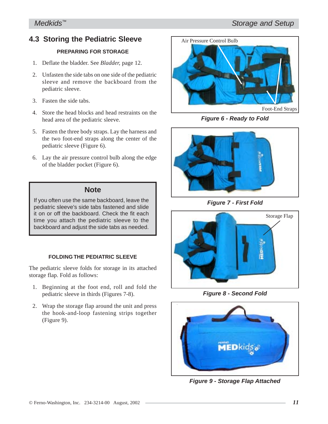## **4.3 Storing the Pediatric Sleeve**

#### **PREPARING FOR STORAGE**

- 1. Deflate the bladder. See *Bladder,* page 12.
- 2. Unfasten the side tabs on one side of the pediatric sleeve and remove the backboard from the pediatric sleeve.
- 3. Fasten the side tabs.
- 4. Store the head blocks and head restraints on the head area of the pediatric sleeve.
- 5. Fasten the three body straps. Lay the harness and the two foot-end straps along the center of the pediatric sleeve (Figure 6).
- 6. Lay the air pressure control bulb along the edge of the bladder pocket (Figure 6).

#### **Note**

If you often use the same backboard, leave the pediatric sleeve's side tabs fastened and slide it on or off the backboard. Check the fit each time you attach the pediatric sleeve to the backboard and adjust the side tabs as needed.

#### **FOLDING THE PEDIATRIC SLEEVE**

The pediatric sleeve folds for storage in its attached storage flap. Fold as follows:

- 1. Beginning at the foot end, roll and fold the pediatric sleeve in thirds (Figures 7-8).
- 2. Wrap the storage flap around the unit and press the hook-and-loop fastening strips together (Figure 9).



*Figure 6 - Ready to Fold*



*Figure 7 - First Fold*



*Figure 8 - Second Fold*



*Figure 9 - Storage Flap Attached*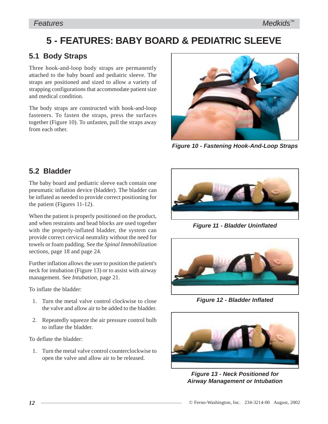# **5 - FEATURES: BABY BOARD & PEDIATRIC SLEEVE**

## **5.1 Body Straps**

Three hook-and-loop body straps are permanently attached to the baby board and pediatric sleeve. The straps are positioned and sized to allow a variety of strapping configurations that accommodate patient size and medical condition.

The body straps are constructed with hook-and-loop fasteners. To fasten the straps, press the surfaces together (Figure 10). To unfasten, pull the straps away from each other.



*Figure 10 - Fastening Hook-And-Loop Straps*

## **5.2 Bladder**

The baby board and pediatric sleeve each contain one pneumatic inflation device (bladder). The bladder can be inflated as needed to provide correct positioning for the patient (Figures 11-12).

When the patient is properly positioned on the product, and when restraints and head blocks are used together with the properly-inflated bladder, the system can provide correct cervical neutrality without the need for towels or foam padding. See the *Spinal Immobilization* sections, page 18 and page 24.

Further inflation allows the user to position the patient's neck for intubation (Figure 13) or to assist with airway management. See *Intubation,* page 21.

To inflate the bladder:

- 1. Turn the metal valve control clockwise to close the valve and allow air to be added to the bladder.
- 2. Repeatedly squeeze the air pressure control bulb to inflate the bladder.

To deflate the bladder:

1. Turn the metal valve control counterclockwise to open the valve and allow air to be released.



*Figure 11 - Bladder Uninflated*



*Figure 12 - Bladder Inflated*



*Figure 13 - Neck Positioned for Airway Management or Intubation*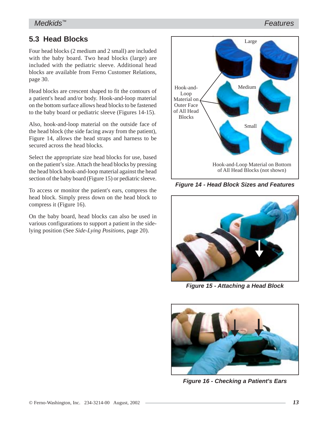#### *Features*

## **5.3 Head Blocks**

Four head blocks (2 medium and 2 small) are included with the baby board. Two head blocks (large) are included with the pediatric sleeve. Additional head blocks are available from Ferno Customer Relations, page 30.

Head blocks are crescent shaped to fit the contours of a patient's head and/or body. Hook-and-loop material on the bottom surface allows head blocks to be fastened to the baby board or pediatric sleeve (Figures 14-15).

Also, hook-and-loop material on the outside face of the head block (the side facing away from the patient), Figure 14, allows the head straps and harness to be secured across the head blocks.

Select the appropriate size head blocks for use, based on the patient's size. Attach the head blocks by pressing the head block hook-and-loop material against the head section of the baby board (Figure 15) or pediatric sleeve.

To access or monitor the patient's ears, compress the head block. Simply press down on the head block to compress it (Figure 16).

On the baby board, head blocks can also be used in various configurations to support a patient in the sidelying position (See *Side-Lying Positions*, page 20).



*Figure 14 - Head Block Sizes and Features*



*Figure 15 - Attaching a Head Block*



*Figure 16 - Checking a Patient's Ears*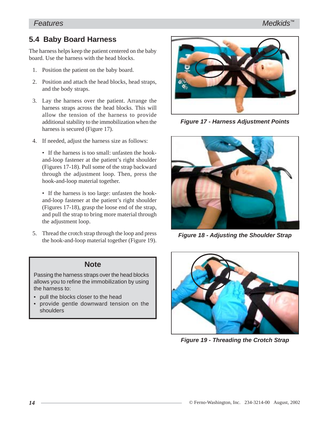#### *Features*

#### *Medkids™*

## **5.4 Baby Board Harness**

The harness helps keep the patient centered on the baby board. Use the harness with the head blocks.

- 1. Position the patient on the baby board.
- 2. Position and attach the head blocks, head straps, and the body straps.
- 3. Lay the harness over the patient. Arrange the harness straps across the head blocks. This will allow the tension of the harness to provide additional stability to the immobilization when the harness is secured (Figure 17).
- 4. If needed, adjust the harness size as follows:

• If the harness is too small: unfasten the hookand-loop fastener at the patient's right shoulder (Figures 17-18). Pull some of the strap backward through the adjustment loop. Then, press the hook-and-loop material together.

• If the harness is too large: unfasten the hookand-loop fastener at the patient's right shoulder (Figures 17-18), grasp the loose end of the strap, and pull the strap to bring more material through the adjustment loop.

5. Thread the crotch strap through the loop and press the hook-and-loop material together (Figure 19).

#### **Note**

Passing the harness straps over the head blocks allows you to refine the immobilization by using the harness to:

- pull the blocks closer to the head
- provide gentle downward tension on the shoulders



*Figure 17 - Harness Adjustment Points*



*Figure 18 - Adjusting the Shoulder Strap*



*Figure 19 - Threading the Crotch Strap*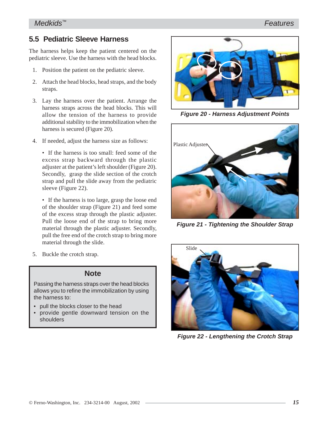*Medkids™*

4. If needed, adjust the harness size as follows:

• If the harness is too small: feed some of the excess strap backward through the plastic adjuster at the patient's left shoulder (Figure 20). Secondly, grasp the slide section of the crotch strap and pull the slide away from the pediatric sleeve (Figure 22).

• If the harness is too large, grasp the loose end of the shoulder strap (Figure 21) and feed some of the excess strap through the plastic adjuster. Pull the loose end of the strap to bring more material through the plastic adjuster. Secondly, pull the free end of the crotch strap to bring more material through the slide.

5. Buckle the crotch strap.

#### **Note**

Passing the harness straps over the head blocks allows you to refine the immobilization by using the harness to:

- pull the blocks closer to the head
- provide gentle downward tension on the shoulders

## **5.5 Pediatric Sleeve Harness**

The harness helps keep the patient centered on the pediatric sleeve. Use the harness with the head blocks.

- 1. Position the patient on the pediatric sleeve.
- 2. Attach the head blocks, head straps, and the body straps.
- 3. Lay the harness over the patient. Arrange the harness straps across the head blocks. This will allow the tension of the harness to provide additional stability to the immobilization when the harness is secured (Figure 20).
- 

Slide

*Figure 22 - Lengthening the Crotch Strap*







*Figure 21 - Tightening the Shoulder Strap*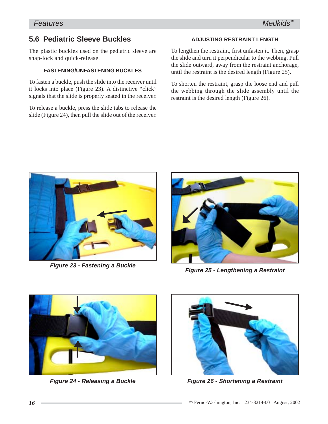## **5.6 Pediatric Sleeve Buckles**

The plastic buckles used on the pediatric sleeve are snap-lock and quick-release.

#### **FASTENING/UNFASTENING BUCKLES**

To fasten a buckle, push the slide into the receiver until it locks into place (Figure 23). A distinctive "click" signals that the slide is properly seated in the receiver.

To release a buckle, press the slide tabs to release the slide (Figure 24), then pull the slide out of the receiver.

#### **ADJUSTING RESTRAINT LENGTH**

To lengthen the restraint, first unfasten it. Then, grasp the slide and turn it perpendicular to the webbing. Pull the slide outward, away from the restraint anchorage, until the restraint is the desired length (Figure 25).

To shorten the restraint, grasp the loose end and pull the webbing through the slide assembly until the restraint is the desired length (Figure 26).





*Figure 25 - Lengthening a Restraint Figure 23 - Fastening a Buckle*



*Figure 24 - Releasing a Buckle*



*Figure 26 - Shortening a Restraint*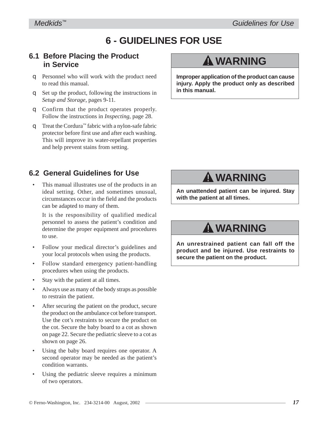# **6 - GUIDELINES FOR USE**

## **6.1 Before Placing the Product in Service**

- q Personnel who will work with the product need to read this manual.
- q Set up the product, following the instructions in *Setup and Storage*, pages 9-11.
- q Confirm that the product operates properly. Follow the instructions in *Inspecting*, page 28.
- q Treat the Cordura™ fabric with a nylon-safe fabric protector before first use and after each washing. This will improve its water-repellant properties and help prevent stains from setting.

## **6.2 General Guidelines for Use**

• This manual illustrates use of the products in an ideal setting. Other, and sometimes unusual, circumstances occur in the field and the products can be adapted to many of them.

It is the responsibility of qualified medical personnel to assess the patient's condition and determine the proper equipment and procedures to use.

- Follow your medical director's guidelines and your local protocols when using the products.
- Follow standard emergency patient-handling procedures when using the products.
- Stay with the patient at all times.
- Always use as many of the body straps as possible to restrain the patient.
- After securing the patient on the product, secure the product on the ambulance cot before transport. Use the cot's restraints to secure the product on the cot. Secure the baby board to a cot as shown on page 22. Secure the pediatric sleeve to a cot as shown on page 26.
- Using the baby board requires one operator. A second operator may be needed as the patient's condition warrants.
- Using the pediatric sleeve requires a minimum of two operators.

# ! **WARNING**

**Improper application of the product can cause injury. Apply the product only as described in this manual.**

# ! **WARNING**

**An unattended patient can be injured. Stay with the patient at all times.**

# ! **WARNING**

**An unrestrained patient can fall off the product and be injured. Use restraints to secure the patient on the product.**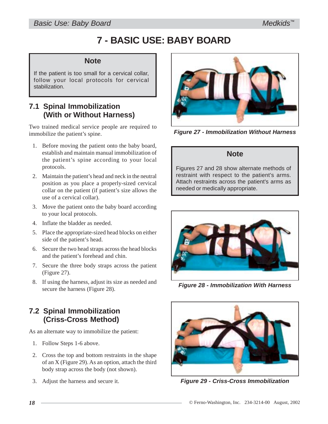# **7 - BASIC USE: BABY BOARD**

#### **Note**

If the patient is too small for a cervical collar, follow your local protocols for cervical stabilization.

## **7.1 Spinal Immobilization (With or Without Harness)**

Two trained medical service people are required to immobilize the patient's spine.

- 1. Before moving the patient onto the baby board, establish and maintain manual immobilization of the patient's spine according to your local protocols.
- 2. Maintain the patient's head and neck in the neutral position as you place a properly-sized cervical collar on the patient (if patient's size allows the use of a cervical collar).
- 3. Move the patient onto the baby board according to your local protocols.
- 4. Inflate the bladder as needed.
- 5. Place the appropriate-sized head blocks on either side of the patient's head.
- 6. Secure the two head straps across the head blocks and the patient's forehead and chin.
- 7. Secure the three body straps across the patient (Figure 27).
- 8. If using the harness, adjust its size as needed and secure the harness (Figure 28).

## **7.2 Spinal Immobilization (Criss-Cross Method)**

As an alternate way to immobilize the patient:

- 1. Follow Steps 1-6 above.
- 2. Cross the top and bottom restraints in the shape of an X (Figure 29). As an option, attach the third body strap across the body (not shown).
- 3. Adjust the harness and secure it.



*Figure 27 - Immobilization Without Harness*

#### **Note**

Figures 27 and 28 show alternate methods of restraint with respect to the patient's arms. Attach restraints across the patient's arms as needed or medically appropriate.



*Figure 28 - Immobilization With Harness*



*Figure 29 - Criss-Cross Immobilization*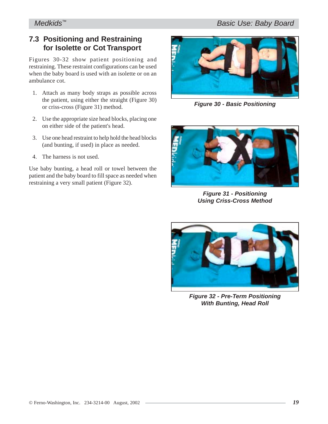## **7.3 Positioning and Restraining for Isolette or Cot Transport**

Figures 30-32 show patient positioning and restraining. These restraint configurations can be used when the baby board is used with an isolette or on an ambulance cot.

- 1. Attach as many body straps as possible across the patient, using either the straight (Figure 30) or criss-cross (Figure 31) method.
- 2. Use the appropriate size head blocks, placing one on either side of the patient's head.
- 3. Use one head restraint to help hold the head blocks (and bunting, if used) in place as needed.
- 4. The harness is not used.

Use baby bunting, a head roll or towel between the patient and the baby board to fill space as needed when restraining a very small patient (Figure 32).



*Figure 30 - Basic Positioning*



*Figure 31 - Positioning Using Criss-Cross Method*



*Figure 32 - Pre-Term Positioning With Bunting, Head Roll*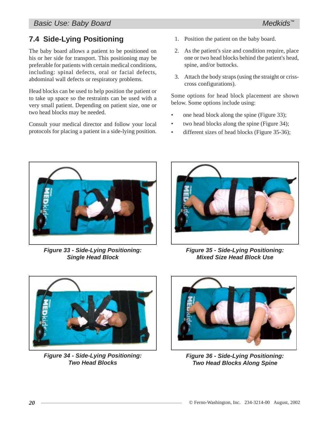*Basic Use: Baby Board*

## **7.4 Side-Lying Positioning**

The baby board allows a patient to be positioned on his or her side for transport. This positioning may be preferable for patients with certain medical conditions, including: spinal defects, oral or facial defects, abdominal wall defects or respiratory problems.

Head blocks can be used to help position the patient or to take up space so the restraints can be used with a very small patient. Depending on patient size, one or two head blocks may be needed.

Consult your medical director and follow your local protocols for placing a patient in a side-lying position.

- 1. Position the patient on the baby board.
- 2. As the patient's size and condition require, place one or two head blocks behind the patient's head, spine, and/or buttocks.
- 3. Attach the body straps (using the straight or crisscross configurations).

Some options for head block placement are shown below. Some options include using:

- one head block along the spine (Figure 33);
- two head blocks along the spine (Figure 34);
- different sizes of head blocks (Figure 35-36);



*Figure 33 - Side-Lying Positioning: Single Head Block*



*Figure 35 - Side-Lying Positioning: Mixed Size Head Block Use*



*Figure 34 - Side-Lying Positioning: Two Head Blocks*



*Figure 36 - Side-Lying Positioning: Two Head Blocks Along Spine*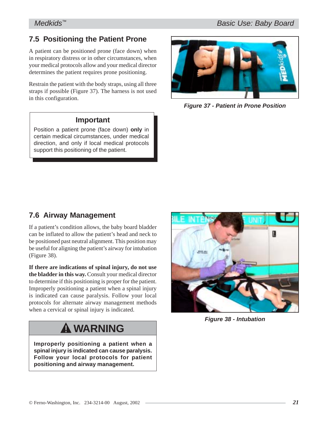## **7.5 Positioning the Patient Prone**

A patient can be positioned prone (face down) when in respiratory distress or in other circumstances, when your medical protocols allow and your medical director determines the patient requires prone positioning.

Restrain the patient with the body straps, using all three straps if possible (Figure 37). The harness is not used in this configuration.

#### **Important**

Position a patient prone (face down) **only** in certain medical circumstances, under medical direction, and only if local medical protocols support this positioning of the patient.



*Figure 37 - Patient in Prone Position*

## **7.6 Airway Management**

If a patient's condition allows, the baby board bladder can be inflated to allow the patient's head and neck to be positioned past neutral alignment. This position may be useful for aligning the patient's airway for intubation (Figure 38).

**If there are indications of spinal injury, do not use the bladder in this way.** Consult your medical director to determine if this positioning is proper for the patient. Improperly positioning a patient when a spinal injury is indicated can cause paralysis. Follow your local protocols for alternate airway management methods when a cervical or spinal injury is indicated.

# ! **WARNING**

**Improperly positioning a patient when a spinal injury is indicated can cause paralysis. Follow your local protocols for patient positioning and airway management.**



*Figure 38 - Intubation*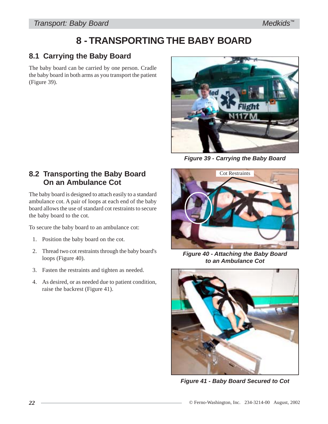# **8 - TRANSPORTING THE BABY BOARD**

## **8.1 Carrying the Baby Board**

The baby board can be carried by one person. Cradle the baby board in both arms as you transport the patient (Figure 39).



*Figure 39 - Carrying the Baby Board*

## **8.2 Transporting the Baby Board On an Ambulance Cot**

The baby board is designed to attach easily to a standard ambulance cot. A pair of loops at each end of the baby board allows the use of standard cot restraints to secure the baby board to the cot.

To secure the baby board to an ambulance cot:

- 1. Position the baby board on the cot.
- 2. Thread two cot restraints through the baby board's loops (Figure 40).
- 3. Fasten the restraints and tighten as needed.
- 4. As desired, or as needed due to patient condition, raise the backrest (Figure 41).



*Figure 40 - Attaching the Baby Board to an Ambulance Cot*



*Figure 41 - Baby Board Secured to Cot*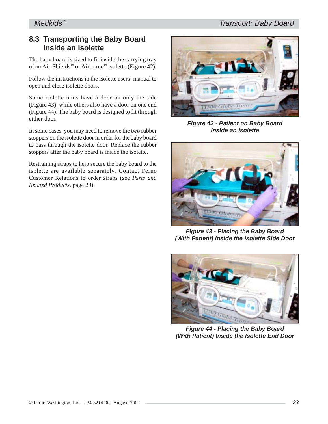## **8.3 Transporting the Baby Board Inside an Isolette**

The baby board is sized to fit inside the carrying tray of an Air-Shields™ or Airborne™ isolette (Figure 42).

Follow the instructions in the isolette users' manual to open and close isolette doors.

Some isolette units have a door on only the side (Figure 43), while others also have a door on one end (Figure 44). The baby board is designed to fit through either door.

In some cases, you may need to remove the two rubber stoppers on the isolette door in order for the baby board to pass through the isolette door. Replace the rubber stoppers after the baby board is inside the isolette.

Restraining straps to help secure the baby board to the isolette are available separately. Contact Ferno Customer Relations to order straps (see *Parts and Related Products,* page 29).



*Figure 42 - Patient on Baby Board Inside an Isolette*



*Figure 43 - Placing the Baby Board (With Patient) Inside the Isolette Side Door*



*Figure 44 - Placing the Baby Board (With Patient) Inside the Isolette End Door*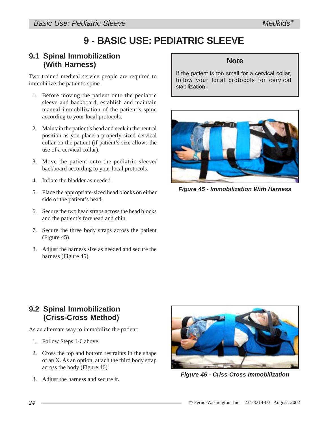# **9 - BASIC USE: PEDIATRIC SLEEVE**

### **9.1 Spinal Immobilization (With Harness)**

Two trained medical service people are required to immobilize the patient's spine.

- 1. Before moving the patient onto the pediatric sleeve and backboard, establish and maintain manual immobilization of the patient's spine according to your local protocols.
- 2. Maintain the patient's head and neck in the neutral position as you place a properly-sized cervical collar on the patient (if patient's size allows the use of a cervical collar).
- 3. Move the patient onto the pediatric sleeve/ backboard according to your local protocols.
- 4. Inflate the bladder as needed.
- 5. Place the appropriate-sized head blocks on either side of the patient's head.
- 6. Secure the two head straps across the head blocks and the patient's forehead and chin.
- 7. Secure the three body straps across the patient (Figure 45).
- 8. Adjust the harness size as needed and secure the harness (Figure 45).

## **Note**

If the patient is too small for a cervical collar, follow your local protocols for cervical stabilization.



*Figure 45 - Immobilization With Harness*

## **9.2 Spinal Immobilization (Criss-Cross Method)**

As an alternate way to immobilize the patient:

- 1. Follow Steps 1-6 above.
- 2. Cross the top and bottom restraints in the shape of an X. As an option, attach the third body strap across the body (Figure 46).
- 3. Adjust the harness and secure it.



*Figure 46 - Criss-Cross Immobilization*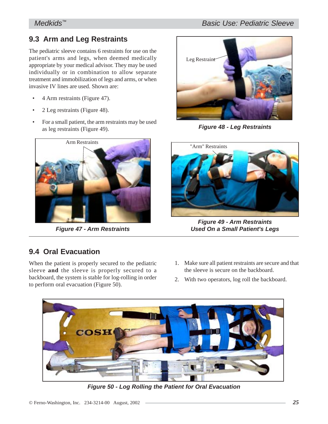## **9.3 Arm and Leg Restraints**

The pediatric sleeve contains 6 restraints for use on the patient's arms and legs, when deemed medically appropriate by your medical advisor. They may be used individually or in combination to allow separate treatment and immobilization of legs and arms, or when invasive IV lines are used. Shown are:

- 4 Arm restraints (Figure 47).
- 2 Leg restraints (Figure 48).
- For a small patient, the arm restraints may be used as leg restraints (Figure 49).



*Figure 47 - Arm Restraints*

# Leg Restraint

*Figure 48 - Leg Restraints*



*Figure 49 - Arm Restraints Used On a Small Patient's Legs*

## **9.4 Oral Evacuation**

When the patient is properly secured to the pediatric sleeve **and** the sleeve is properly secured to a backboard, the system is stable for log-rolling in order to perform oral evacuation (Figure 50).

- 1. Make sure all patient restraints are secure and that the sleeve is secure on the backboard.
- 2. With two operators, log roll the backboard.



*Figure 50 - Log Rolling the Patient for Oral Evacuation*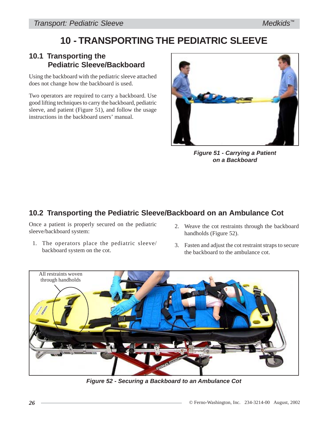# **10 - TRANSPORTING THE PEDIATRIC SLEEVE**

## **10.1 Transporting the Pediatric Sleeve/Backboard**

Using the backboard with the pediatric sleeve attached does not change how the backboard is used.

Two operators are required to carry a backboard. Use good lifting techniques to carry the backboard, pediatric sleeve, and patient (Figure 51), and follow the usage instructions in the backboard users' manual.



*Figure 51 - Carrying a Patient on a Backboard*

## **10.2 Transporting the Pediatric Sleeve/Backboard on an Ambulance Cot**

Once a patient is properly secured on the pediatric sleeve/backboard system:

- 1. The operators place the pediatric sleeve/ backboard system on the cot.
- 2. Weave the cot restraints through the backboard handholds (Figure 52).
- 3. Fasten and adjust the cot restraint straps to secure the backboard to the ambulance cot.



*Figure 52 - Securing a Backboard to an Ambulance Cot*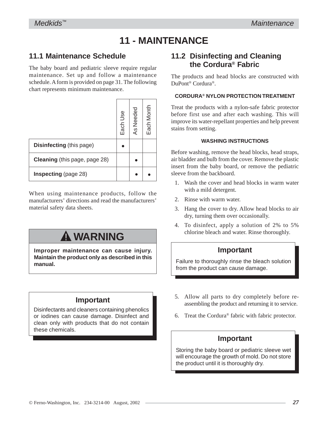# **11 - MAINTENANCE**

## **11.1 Maintenance Schedule**

The baby board and pediatric sleeve require regular maintenance. Set up and follow a maintenance schedule. A form is provided on page 31. The following chart represents minimum maintenance.

|                               | Each Use | As Needed | Each Month |
|-------------------------------|----------|-----------|------------|
| Disinfecting (this page)      |          |           |            |
| Cleaning (this page, page 28) |          |           |            |
| <b>Inspecting</b> (page 28)   |          |           |            |

When using maintenance products, follow the manufacturers' directions and read the manufacturers' material safety data sheets.

# ! **WARNING**

**Improper maintenance can cause injury. Maintain the product only as described in this manual.**

## **Important**

Disinfectants and cleaners containing phenolics or iodines can cause damage. Disinfect and clean only with products that do not contain these chemicals.

## **11.2 Disinfecting and Cleaning the Cordura® Fabric**

The products and head blocks are constructed with DuPont® Cordura®.

#### **CORDURA® NYLON PROTECTION TREATMENT**

Treat the products with a nylon-safe fabric protector before first use and after each washing. This will improve its water-repellant properties and help prevent stains from setting.

#### **WASHING INSTRUCTIONS**

Before washing, remove the head blocks, head straps, air bladder and bulb from the cover. Remove the plastic insert from the baby board, or remove the pediatric sleeve from the backboard.

- 1. Wash the cover and head blocks in warm water with a mild detergent.
- 2. Rinse with warm water.
- 3. Hang the cover to dry. Allow head blocks to air dry, turning them over occasionally.
- 4. To disinfect, apply a solution of 2% to 5% chlorine bleach and water. Rinse thoroughly.

## **Important**

Failure to thoroughly rinse the bleach solution from the product can cause damage.

- 5. Allow all parts to dry completely before reassembling the product and returning it to service.
- 6. Treat the Cordura® fabric with fabric protector.

## **Important**

Storing the baby board or pediatric sleeve wet will encourage the growth of mold. Do not store the product until it is thoroughly dry.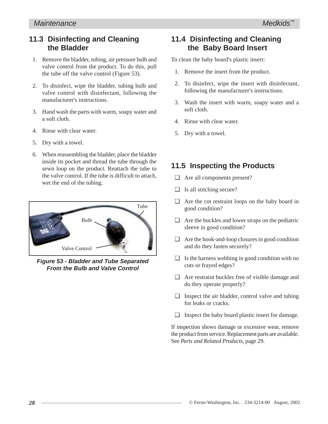## **11.3 Disinfecting and Cleaning the Bladder**

- 1. Remove the bladder, tubing, air pressure bulb and valve control from the product. To do this, pull the tube off the valve control (Figure 53).
- 2. To disinfect, wipe the bladder, tubing bulb and valve control with disinfectant, following the manufacturer's instructions.
- 3. Hand wash the parts with warm, soapy water and a soft cloth.
- 4. Rinse with clear water.
- 5. Dry with a towel.
- 6. When reassembling the bladder, place the bladder inside its pocket and thread the tube through the sewn loop on the product. Reattach the tube to the valve control. If the tube is difficult to attach, wet the end of the tubing.



*Figure 53 - Bladder and Tube Separated From the Bulb and Valve Control*

## **11.4 Disinfecting and Cleaning the Baby Board Insert**

To clean the baby board's plastic insert:

- 1. Remove the insert from the product.
- 2. To disinfect, wipe the insert with disinfectant, following the manufacturer's instructions.
- 3. Wash the insert with warm, soapy water and a soft cloth.
- 4. Rinse with clear water.
- 5. Dry with a towel.

## **11.5 Inspecting the Products**

- ❑ Are all components present?
- ❑ Is all stitching secure?
- ❑ Are the cot restraint loops on the baby board in good condition?
- $\Box$  Are the buckles and lower straps on the pediatric sleeve in good condition?
- ❑ Are the hook-and-loop closures in good condition and do they fasten securely?
- $\Box$  Is the harness webbing in good condition with no cuts or frayed edges?
- ❑ Are restraint buckles free of visible damage and do they operate properly?
- ❑ Inspect the air bladder, control valve and tubing for leaks or cracks.
- ❑ Inspect the baby board plastic insert for damage.

If inspection shows damage or excessive wear, remove the product from service. Replacement parts are available. See *Parts and Related Products,* page 29.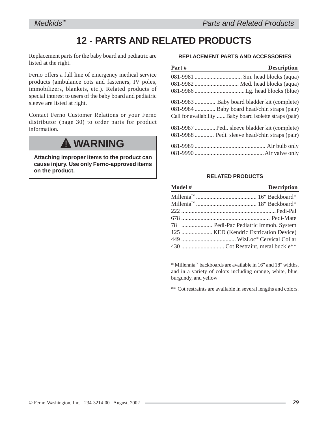# **12 - PARTS AND RELATED PRODUCTS**

Replacement parts for the baby board and pediatric are listed at the right.

Ferno offers a full line of emergency medical service products (ambulance cots and fasteners, IV poles, immobilizers, blankets, etc.). Related products of special interest to users of the baby board and pediatric sleeve are listed at right.

Contact Ferno Customer Relations or your Ferno distributor (page 30) to order parts for product information.

# ! **WARNING**

**Attaching improper items to the product can cause injury. Use only Ferno-approved items on the product.**

#### **REPLACEMENT PARTS AND ACCESSORIES**

| Part# | <b>Description</b>                                       |
|-------|----------------------------------------------------------|
|       |                                                          |
|       | 081-9982  Med. head blocks (aqua)                        |
|       |                                                          |
|       | 081-9983  Baby board bladder kit (complete)              |
|       | 081-9984  Baby board head/chin straps (pair)             |
|       | Call for availability  Baby board isolette straps (pair) |
|       | 081-9987  Pedi. sleeve bladder kit (complete)            |
|       | 081-9988  Pedi. sleeve head/chin straps (pair)           |
|       |                                                          |
|       |                                                          |

#### **RELATED PRODUCTS**

| Model # | <b>Description</b>                   |
|---------|--------------------------------------|
|         |                                      |
|         |                                      |
|         |                                      |
|         |                                      |
|         | 78  Pedi-Pac Pediatric Immob. System |
|         |                                      |
|         |                                      |
|         |                                      |

\* Millennia™ backboards are available in 16" and 18" widths, and in a variety of colors including orange, white, blue, burgundy, and yellow

\*\* Cot restraints are available in several lengths and colors.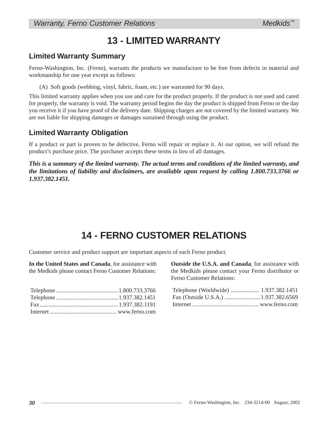# **13 - LIMITED WARRANTY**

## **Limited Warranty Summary**

Ferno-Washington, Inc. (Ferno), warrants the products we manufacture to be free from defects in material and workmanship for one year except as follows:

(A) Soft goods (webbing, vinyl, fabric, foam, etc.) are warranted for 90 days.

This limited warranty applies when you use and care for the product properly. If the product is not used and cared for properly, the warranty is void. The warranty period begins the day the product is shipped from Ferno or the day you receive it if you have proof of the delivery date. Shipping charges are not covered by the limited warranty. We are not liable for shipping damages or damages sustained through using the product.

## **Limited Warranty Obligation**

If a product or part is proven to be defective, Ferno will repair or replace it. At our option, we will refund the product's purchase price. The purchaser accepts these terms in lieu of all damages.

*This is a summary of the limited warranty. The actual terms and conditions of the limited warranty, and the limitations of liability and disclaimers, are available upon request by calling 1.800.733.3766 or 1.937.382.1451.*

## **14 - FERNO CUSTOMER RELATIONS**

Customer service and product support are important aspects of each Ferno product.

**In the United States and Canada**, for assistance with the Medkids please contact Ferno Customer Relations:

**Outside the U.S.A. and Canada**, for assistance with the Medkids please contact your Ferno distributor or Ferno Customer Relations:

*Medkids™*

| Telephone (Worldwide)  1.937.382.1451 |  |
|---------------------------------------|--|
|                                       |  |
|                                       |  |